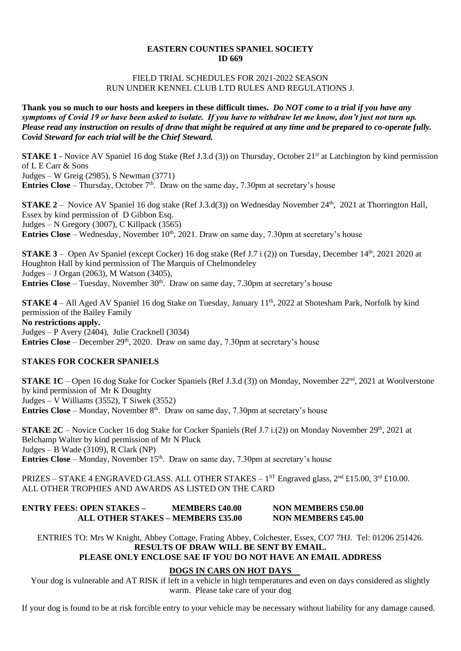#### **EASTERN COUNTIES SPANIEL SOCIETY ID 669**

#### FIELD TRIAL SCHEDULES FOR 2021-2022 SEASON RUN UNDER KENNEL CLUB LTD RULES AND REGULATIONS J.

**Thank you so much to our hosts and keepers in these difficult times.** *Do NOT come to a trial if you have any symptoms of Covid 19 or have been asked to isolate. If you have to withdraw let me know, don't just not turn up. Please read any instruction on results of draw that might be required at any time and be prepared to co-operate fully. Covid Steward for each trial will be the Chief Steward.*

**STAKE 1** - Novice AV Spaniel 16 dog Stake (Ref J.3.d (3)) on Thursday, October 21<sup>st</sup> at Latchington by kind permission of L E Carr & Sons Judges – W Greig (2985), S Newman (3771) **Entries Close** – Thursday, October  $7<sup>th</sup>$ . Draw on the same day, 7.30pm at secretary's house

**STAKE 2** – Novice AV Spaniel 16 dog stake (Ref J.3.d(3)) on Wednesday November  $24<sup>th</sup>$ , 2021 at Thorrington Hall, Essex by kind permission of D Gibbon Esq. Judges – N Gregory (3007), C Killpack (3565) **Entries Close** – Wednesday, November 10<sup>th</sup>, 2021. Draw on same day, 7.30pm at secretary's house

**STAKE 3** – Open Av Spaniel (except Cocker) 16 dog stake (Ref J.7 i (2)) on Tuesday, December  $14<sup>th</sup>$ , 2021 2020 at Houghton Hall by kind permission of The Marquis of Chelmondeley Judges – J Organ (2063), M Watson (3405), **Entries Close** – Tuesday, November 30<sup>th</sup>. Draw on same day, 7.30pm at secretary's house

**STAKE 4** – All Aged AV Spaniel 16 dog Stake on Tuesday, January 11<sup>th</sup>, 2022 at Shotesham Park, Norfolk by kind permission of the Bailey Family **No restrictions apply.** Judges – P Avery (2404), Julie Cracknell (3034) **Entries Close** – December  $29<sup>th</sup>$ , 2020. Draw on same day, 7.30pm at secretary's house

## **STAKES FOR COCKER SPANIELS**

**STAKE 1C** – Open 16 dog Stake for Cocker Spaniels (Ref J.3.d (3)) on Monday, November 22<sup>nd</sup>, 2021 at Woolverstone by kind permission of Mr K Doughty Judges – V Williams (3552), T Siwek (3552) **Entries Close** – Monday, November 8<sup>th</sup>. Draw on same day, 7.30pm at secretary's house

**STAKE 2C** – Novice Cocker 16 dog Stake for Cocker Spaniels (Ref J.7 i.(2)) on Monday November 29<sup>th</sup>, 2021 at Belchamp Walter by kind permission of Mr N Pluck Judges – B Wade (3109), R Clark (NP) **Entries Close** – Monday, November 15<sup>th</sup>. Draw on same day, 7.30pm at secretary's house

PRIZES – STAKE 4 ENGRAVED GLASS. ALL OTHER STAKES –  $1^{ST}$  Engraved glass,  $2^{nd}$  £15.00,  $3^{rd}$  £10.00. ALL OTHER TROPHIES AND AWARDS AS LISTED ON THE CARD

| <b>ENTRY FEES: OPEN STAKES –</b>  | <b>MEMBERS £40.00</b> | <b>NON MEMBERS £50.00</b> |
|-----------------------------------|-----------------------|---------------------------|
| ALL OTHER STAKES – MEMBERS £35.00 |                       | <b>NON MEMBERS £45.00</b> |

ENTRIES TO: Mrs W Knight, Abbey Cottage, Frating Abbey, Colchester, Essex, CO7 7HJ. Tel: 01206 251426. **RESULTS OF DRAW WILL BE SENT BY EMAIL.** 

# **PLEASE ONLY ENCLOSE SAE IF YOU DO NOT HAVE AN EMAIL ADDRESS**

## **DOGS IN CARS ON HOT DAYS**

Your dog is vulnerable and AT RISK if left in a vehicle in high temperatures and even on days considered as slightly warm. Please take care of your dog

If your dog is found to be at risk forcible entry to your vehicle may be necessary without liability for any damage caused.